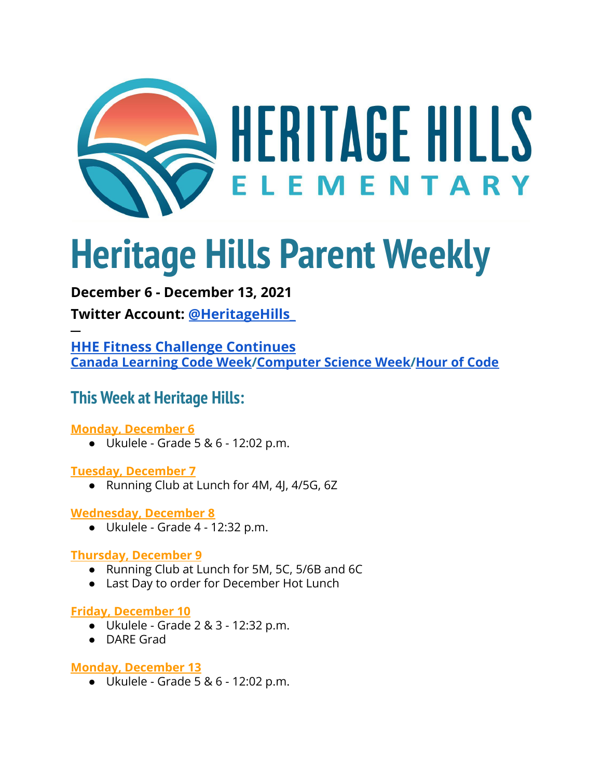

# **Heritage Hills Parent Weekly**

### **December 6 - December 13, 2021**

**Twitter Account: [@HeritageHills\\_](https://twitter.com/HeritageHills_?ref_src=twsrc%5Egoogle%7Ctwcamp%5Eserp%7Ctwgr%5Eauthor)**

**─ HHE Fitness Challenge [Continues](https://docs.google.com/document/d/1XJQuDKSJr9L0lGVbr55r3VY8OdH93Rk-13wZYy2QkyA/edit?usp=sharing) Canada [Learning](https://www.canadalearningcode.ca/canada-learning-code-week-workshops/?gclid=Cj0KCQiAy4eNBhCaARIsAFDVtI2Wrd2-mtZ76Uzf8hnCvD5GK5EYIvdqNU45FCEib74Yx6g8Aki0ZKUaApxLEALw_wcB) Code Week[/Computer](https://www.csedweek.org/) Science Week[/Hour](https://hourofcode.com/ca) of Code**

## **This Week at Heritage Hills:**

#### **Monday, December 6**

● Ukulele - Grade 5 & 6 - 12:02 p.m.

#### **Tuesday, December 7**

● Running Club at Lunch for 4M, 4J, 4/5G, 6Z

#### **Wednesday, December 8**

 $\bullet$  Ukulele - Grade 4 - 12:32 p.m.

#### **Thursday, December 9**

- Running Club at Lunch for 5M, 5C, 5/6B and 6C
- Last Day to order for December Hot Lunch

#### **Friday, December 10**

- Ukulele Grade 2 & 3 12:32 p.m.
- DARE Grad

#### **Monday, December 13**

● Ukulele - Grade 5 & 6 - 12:02 p.m.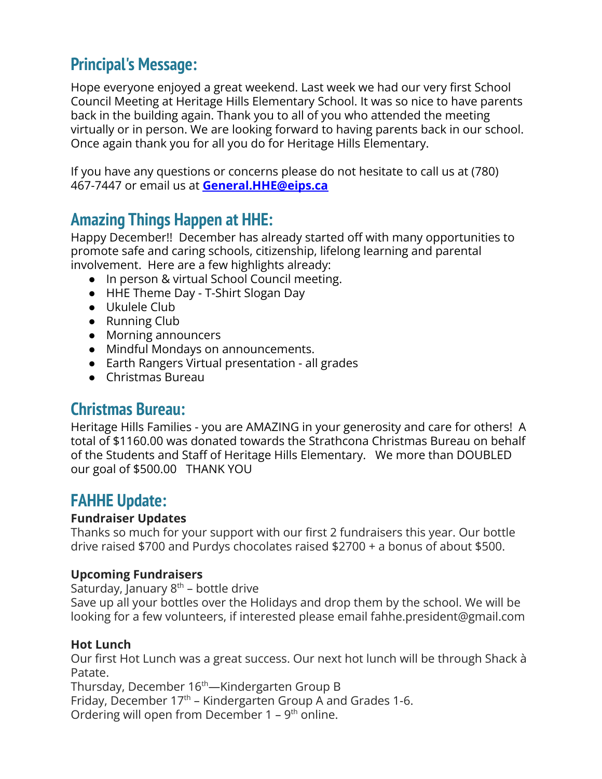## **Principal's Message:**

Hope everyone enjoyed a great weekend. Last week we had our very first School Council Meeting at Heritage Hills Elementary School. It was so nice to have parents back in the building again. Thank you to all of you who attended the meeting virtually or in person. We are looking forward to having parents back in our school. Once again thank you for all you do for Heritage Hills Elementary.

If you have any questions or concerns please do not hesitate to call us at (780) 467-7447 or email us at **[General.HHE@eips.ca](mailto:General.HHE@eips.ca)**

## **Amazing Things Happen at HHE:**

Happy December!! December has already started off with many opportunities to promote safe and caring schools, citizenship, lifelong learning and parental involvement. Here are a few highlights already:

- In person & virtual School Council meeting.
- HHE Theme Day T-Shirt Slogan Day
- Ukulele Club
- Running Club
- Morning announcers
- Mindful Mondays on announcements.
- Earth Rangers Virtual presentation all grades
- Christmas Bureau

## **Christmas Bureau:**

Heritage Hills Families - you are AMAZING in your generosity and care for others! A total of \$1160.00 was donated towards the Strathcona Christmas Bureau on behalf of the Students and Staff of Heritage Hills Elementary. We more than DOUBLED our goal of \$500.00 THANK YOU

## **FAHHE Update:**

#### **Fundraiser Updates**

Thanks so much for your support with our first 2 fundraisers this year. Our bottle drive raised \$700 and Purdys chocolates raised \$2700 + a bonus of about \$500.

#### **Upcoming Fundraisers**

Saturday, January  $8<sup>th</sup>$  – bottle drive

Save up all your bottles over the Holidays and drop them by the school. We will be looking for a few volunteers, if interested please email fahhe.president@gmail.com

#### **Hot Lunch**

Our first Hot Lunch was a great success. Our next hot lunch will be through Shack à Patate.

Thursday, December 16<sup>th</sup>—Kindergarten Group B Friday, December  $17<sup>th</sup>$  – Kindergarten Group A and Grades 1-6. Ordering will open from December  $1 - 9$ <sup>th</sup> online.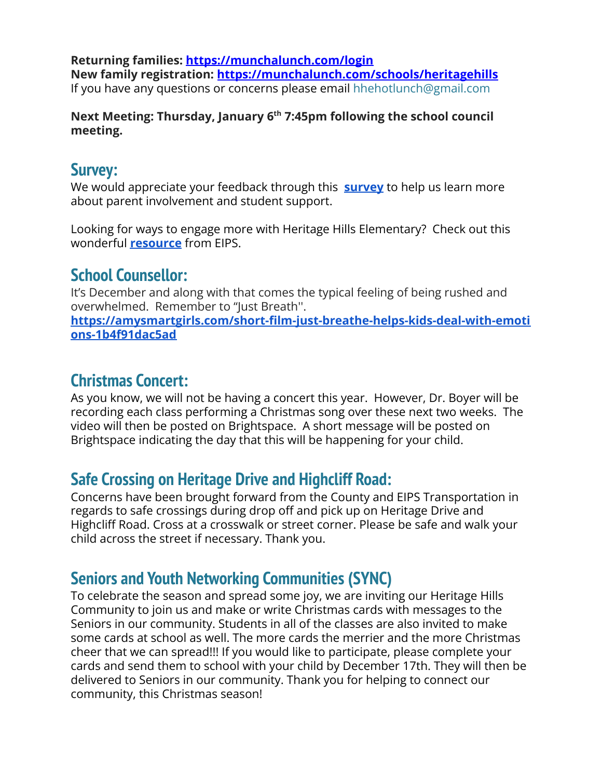**Returning families: <https://munchalunch.com/login> New family registration: <https://munchalunch.com/schools/heritagehills>** If you have any questions or concerns please email hhehotlunch@gmail.com

#### **Next Meeting: Thursday, January 6th 7:45pm following the school council meeting.**

## **Survey:**

We would appreciate your feedback through this **[survey](https://docs.google.com/forms/d/e/1FAIpQLSdtqUEn6m3DPd10GB6v1Cfa_blyhvh1PE3FXozI6sZg9CHcXQ/viewform?usp=sf_link)** to help us learn more about parent involvement and student support.

Looking for ways to engage more with Heritage Hills Elementary? Check out this wonderful **[resource](https://www.eips.ca/download/265409)** from EIPS.

## **School Counsellor:**

It's December and along with that comes the typical feeling of being rushed and overwhelmed. Remember to "Just Breath''.

**[https://amysmartgirls.com/short-film-just-breathe-helps-kids-deal-with-emoti](https://amysmartgirls.com/short-film-just-breathe-helps-kids-deal-with-emotions-1b4f91dac5ad) [ons-1b4f91dac5ad](https://amysmartgirls.com/short-film-just-breathe-helps-kids-deal-with-emotions-1b4f91dac5ad)**

# **Christmas Concert:**

As you know, we will not be having a concert this year. However, Dr. Boyer will be recording each class performing a Christmas song over these next two weeks. The video will then be posted on Brightspace. A short message will be posted on Brightspace indicating the day that this will be happening for your child.

# **Safe Crossing on Heritage Drive and Highcliff Road:**

Concerns have been brought forward from the County and EIPS Transportation in regards to safe crossings during drop off and pick up on Heritage Drive and Highcliff Road. Cross at a crosswalk or street corner. Please be safe and walk your child across the street if necessary. Thank you.

# **Seniors and Youth Networking Communities (SYNC)**

To celebrate the season and spread some joy, we are inviting our Heritage Hills Community to join us and make or write Christmas cards with messages to the Seniors in our community. Students in all of the classes are also invited to make some cards at school as well. The more cards the merrier and the more Christmas cheer that we can spread!!! If you would like to participate, please complete your cards and send them to school with your child by December 17th. They will then be delivered to Seniors in our community. Thank you for helping to connect our community, this Christmas season!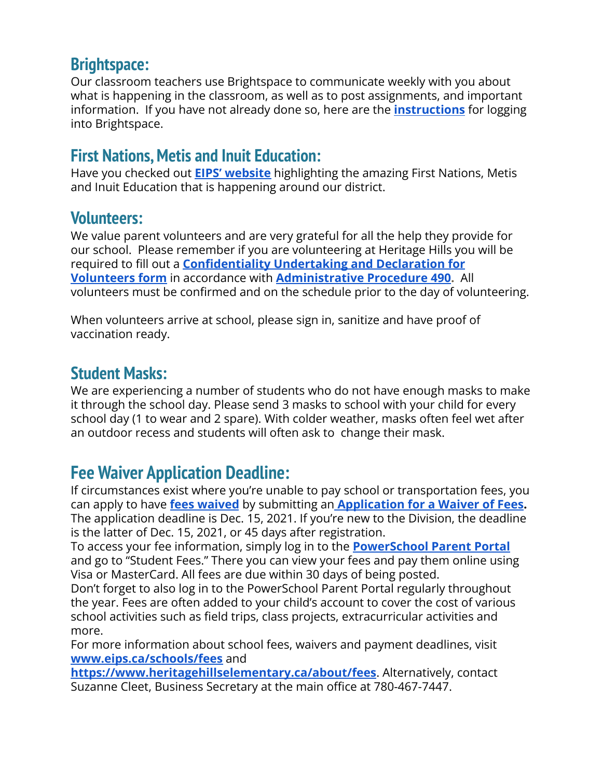## **Brightspace:**

Our classroom teachers use Brightspace to communicate weekly with you about what is happening in the classroom, as well as to post assignments, and important information. If you have not already done so, here are the **[instructions](https://www.eips.ca/parents/brightspace)** for logging into Brightspace.

## **First Nations, Metis and Inuit Education:**

Have you checked out **[EIPS' website](https://www.eips.ca/first-nations-metis-inuit/welcome)** highlighting the amazing First Nations, Metis and Inuit Education that is happening around our district.

## **Volunteers:**

We value parent volunteers and are very grateful for all the help they provide for our school. Please remember if you are volunteering at Heritage Hills you will be required to fill out a **[Confidentiality Undertaking](https://www.eips.ca/download/40485) and Declaration for [Volunteers form](https://www.eips.ca/download/40485)** in accordance with **[Administrative](https://www.eips.ca/about-us/administrative-procedures/490) Procedure 490.** All volunteers must be confirmed and on the schedule prior to the day of volunteering.

When volunteers arrive at school, please sign in, sanitize and have proof of vaccination ready.

## **Student Masks:**

We are experiencing a number of students who do not have enough masks to make it through the school day. Please send 3 masks to school with your child for every school day (1 to wear and 2 spare). With colder weather, masks often feel wet after an outdoor recess and students will often ask to change their mask.

# **Fee Waiver Application Deadline:**

If circumstances exist where you're unable to pay school or transportation fees, you can apply to have **[fees waived](https://www.eips.ca/schools/fees/waiver-of-fees)** by submitting an **Application [for a Waiver of Fees.](https://www.eips.ca/download/296978)** The application deadline is Dec. 15, 2021. If you're new to the Division, the deadline is the latter of Dec. 15, 2021, or 45 days after registration.

To access your fee information, simply log in to the **[PowerSchool Parent Portal](https://powerschool.eips.ca/public/home.html)** and go to "Student Fees." There you can view your fees and pay them online using Visa or MasterCard. All fees are due within 30 days of being posted.

Don't forget to also log in to the PowerSchool Parent Portal regularly throughout the year. Fees are often added to your child's account to cover the cost of various school activities such as field trips, class projects, extracurricular activities and more.

For more information about school fees, waivers and payment deadlines, visit **[www.eips.ca/schools/fees](http://www.eips.ca/schools/fees)** and

**<https://www.heritagehillselementary.ca/about/fees>**. Alternatively, contact Suzanne Cleet, Business Secretary at the main office at 780-467-7447.